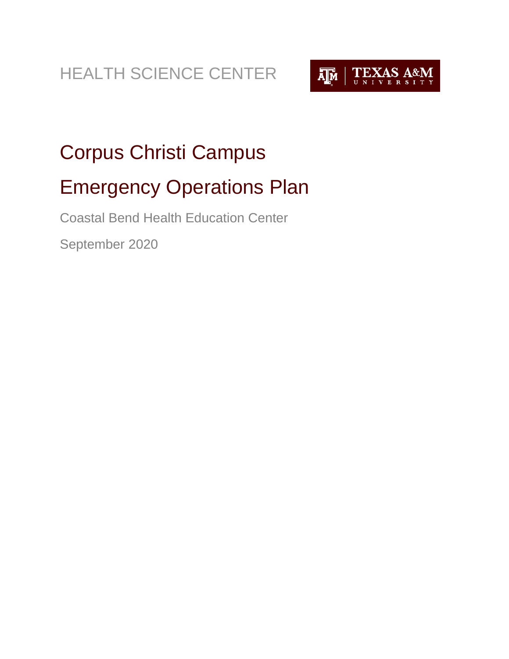HEALTH SCIENCE CENTER



# <span id="page-0-1"></span><span id="page-0-0"></span>Corpus Christi Campus Emergency Operations Plan

<span id="page-0-2"></span>Coastal Bend Health Education Center

<span id="page-0-3"></span>September 2020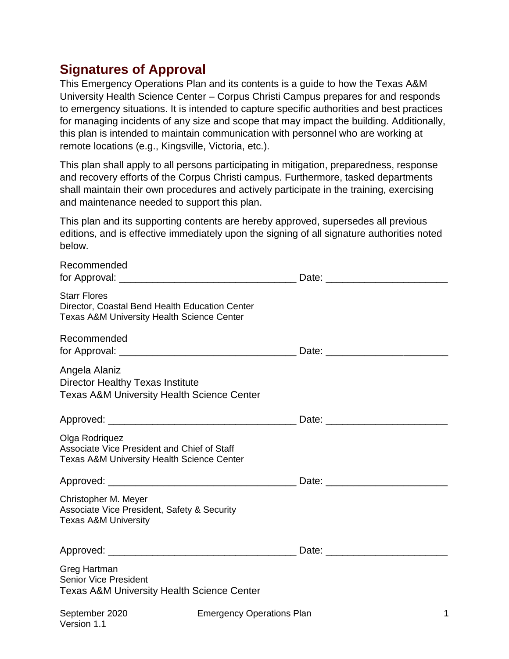### <span id="page-1-0"></span>**Signatures of Approval**

This Emergency Operations Plan and its contents is a guide to how the Texas A&M University Health Science Center – Corpus Christi Campus prepares for and responds to emergency situations. It is intended to capture specific authorities and best practices for managing incidents of any size and scope that may impact the building. Additionally, this plan is intended to maintain communication with personnel who are working at remote locations (e.g., Kingsville, Victoria, etc.).

This plan shall apply to all persons participating in mitigation, preparedness, response and recovery efforts of the Corpus Christi campus. Furthermore, tasked departments shall maintain their own procedures and actively participate in the training, exercising and maintenance needed to support this plan.

This plan and its supporting contents are hereby approved, supersedes all previous editions, and is effective immediately upon the signing of all signature authorities noted below.

| Recommended                                                                                                                    |                                  | Date: the contract of the contract of the contract of the contract of the contract of the contract of the contract of the contract of the contract of the contract of the contract of the contract of the contract of the cont |
|--------------------------------------------------------------------------------------------------------------------------------|----------------------------------|--------------------------------------------------------------------------------------------------------------------------------------------------------------------------------------------------------------------------------|
| <b>Starr Flores</b><br>Director, Coastal Bend Health Education Center<br><b>Texas A&amp;M University Health Science Center</b> |                                  |                                                                                                                                                                                                                                |
| Recommended                                                                                                                    |                                  | Date: <u>___________________</u> ____                                                                                                                                                                                          |
| Angela Alaniz<br><b>Director Healthy Texas Institute</b><br><b>Texas A&amp;M University Health Science Center</b>              |                                  |                                                                                                                                                                                                                                |
|                                                                                                                                |                                  |                                                                                                                                                                                                                                |
| Olga Rodriquez<br>Associate Vice President and Chief of Staff<br><b>Texas A&amp;M University Health Science Center</b>         |                                  |                                                                                                                                                                                                                                |
|                                                                                                                                |                                  | Date: <u>___________________</u>                                                                                                                                                                                               |
| Christopher M. Meyer<br>Associate Vice President, Safety & Security<br><b>Texas A&amp;M University</b>                         |                                  |                                                                                                                                                                                                                                |
|                                                                                                                                |                                  | Date: <u>____________________</u>                                                                                                                                                                                              |
| Greg Hartman<br><b>Senior Vice President</b><br><b>Texas A&amp;M University Health Science Center</b>                          |                                  |                                                                                                                                                                                                                                |
| September 2020<br>Version 1.1                                                                                                  | <b>Emergency Operations Plan</b> | 1                                                                                                                                                                                                                              |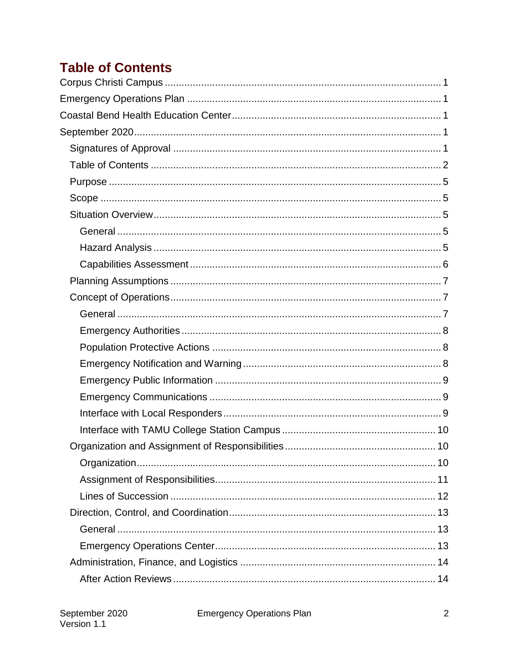# <span id="page-2-0"></span>**Table of Contents**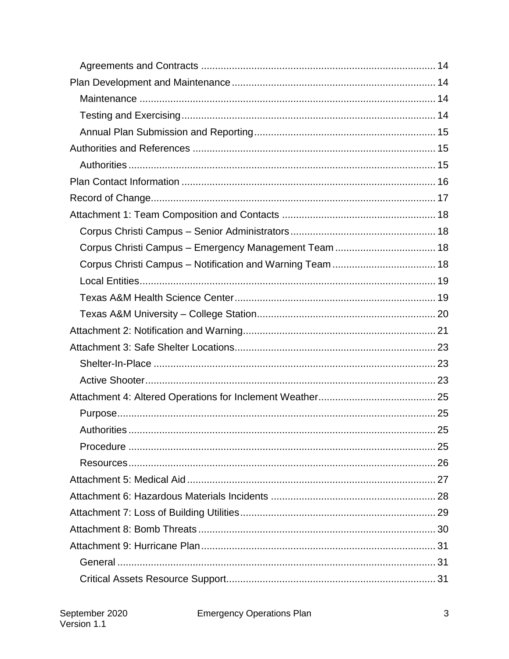| Corpus Christi Campus - Emergency Management Team  18 |    |
|-------------------------------------------------------|----|
|                                                       |    |
|                                                       |    |
|                                                       |    |
|                                                       |    |
|                                                       |    |
|                                                       |    |
|                                                       |    |
|                                                       |    |
|                                                       |    |
|                                                       |    |
|                                                       |    |
| Authorities                                           | 25 |
|                                                       |    |
|                                                       |    |
|                                                       |    |
|                                                       |    |
|                                                       |    |
|                                                       |    |
|                                                       |    |
|                                                       |    |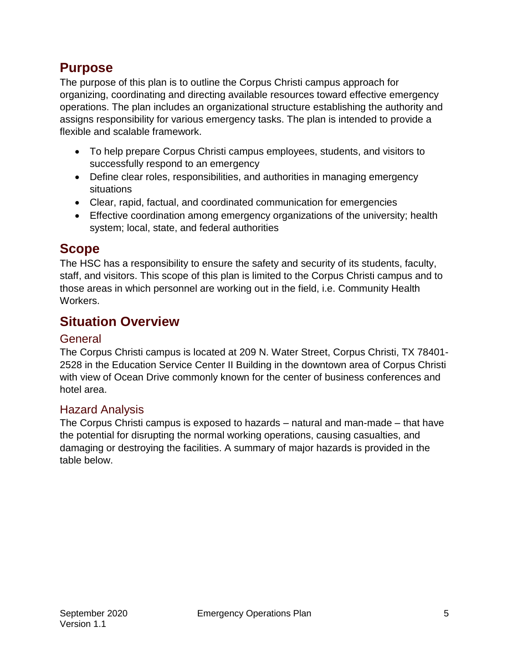### <span id="page-5-0"></span>**Purpose**

The purpose of this plan is to outline the Corpus Christi campus approach for organizing, coordinating and directing available resources toward effective emergency operations. The plan includes an organizational structure establishing the authority and assigns responsibility for various emergency tasks. The plan is intended to provide a flexible and scalable framework.

- To help prepare Corpus Christi campus employees, students, and visitors to successfully respond to an emergency
- Define clear roles, responsibilities, and authorities in managing emergency situations
- Clear, rapid, factual, and coordinated communication for emergencies
- Effective coordination among emergency organizations of the university; health system; local, state, and federal authorities

### <span id="page-5-1"></span>**Scope**

The HSC has a responsibility to ensure the safety and security of its students, faculty, staff, and visitors. This scope of this plan is limited to the Corpus Christi campus and to those areas in which personnel are working out in the field, i.e. Community Health Workers.

# <span id="page-5-2"></span>**Situation Overview**

### <span id="page-5-3"></span>**General**

The Corpus Christi campus is located at 209 N. Water Street, Corpus Christi, TX 78401- 2528 in the Education Service Center II Building in the downtown area of Corpus Christi with view of Ocean Drive commonly known for the center of business conferences and hotel area.

### <span id="page-5-4"></span>Hazard Analysis

The Corpus Christi campus is exposed to hazards – natural and man-made – that have the potential for disrupting the normal working operations, causing casualties, and damaging or destroying the facilities. A summary of major hazards is provided in the table below.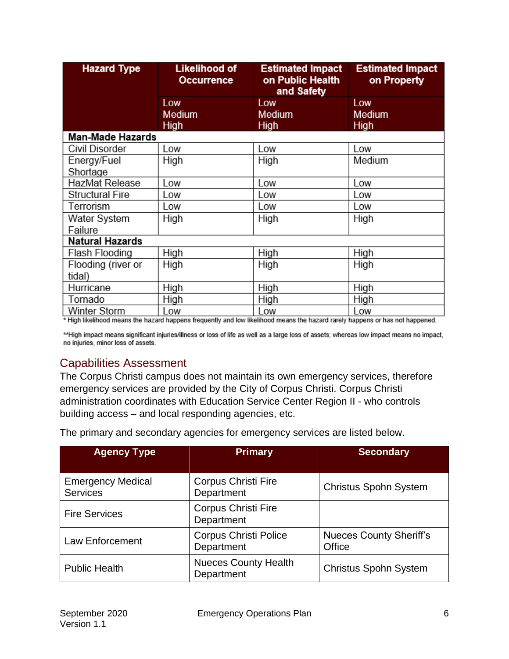| <b>Hazard Type</b>      | Likelihood of<br>Occurrence | <b>Estimated Impact</b><br>on Public Health<br>and Safety |             |
|-------------------------|-----------------------------|-----------------------------------------------------------|-------------|
|                         | Low                         | Low                                                       | Low         |
|                         | Medium                      | <b>Medium</b>                                             | Medium      |
|                         | <b>High</b>                 | High                                                      | High        |
| <b>Man-Made Hazards</b> |                             |                                                           |             |
| Civil Disorder          | Low                         | Low                                                       | Low         |
| Energy/Fuel             | High                        | High                                                      | Medium      |
| Shortage                |                             |                                                           |             |
| HazMat Release          | Low                         | Low                                                       | Low         |
| <b>Structural Fire</b>  | Low                         | Low                                                       | Low         |
| Terrorism               | Low                         | Low                                                       | Low         |
| Water System            | High                        | High                                                      | High        |
| Failure                 |                             |                                                           |             |
| <b>Natural Hazards</b>  |                             |                                                           |             |
| Flash Flooding          | High                        | High                                                      | <b>High</b> |
| Flooding (river or      | High                        | High                                                      | High        |
| tidal)                  |                             |                                                           |             |
| Hurricane               | High                        | High                                                      | High        |
| Tornado                 | High                        | High                                                      | High        |
| Winter Storm            | Low                         | Low                                                       | Low         |

\* High likelihood means the hazard happens frequently and low likelihood means the hazard rarely happens or has not happened.

\*\*High impact means significant injuries/illness or loss of life as well as a large loss of assets; whereas low impact means no impact, no injuries, minor loss of assets.

### <span id="page-6-0"></span>Capabilities Assessment

The Corpus Christi campus does not maintain its own emergency services, therefore emergency services are provided by the City of Corpus Christi. Corpus Christi administration coordinates with Education Service Center Region II - who controls building access – and local responding agencies, etc.

| <b>Agency Type</b>                          | <b>Primary</b>                             | <b>Secondary</b>                         |
|---------------------------------------------|--------------------------------------------|------------------------------------------|
| <b>Emergency Medical</b><br><b>Services</b> | <b>Corpus Christi Fire</b><br>Department   | <b>Christus Spohn System</b>             |
| <b>Fire Services</b>                        | <b>Corpus Christi Fire</b><br>Department   |                                          |
| Law Enforcement                             | <b>Corpus Christi Police</b><br>Department | <b>Nueces County Sheriff's</b><br>Office |
| <b>Public Health</b>                        | <b>Nueces County Health</b><br>Department  | <b>Christus Spohn System</b>             |

The primary and secondary agencies for emergency services are listed below.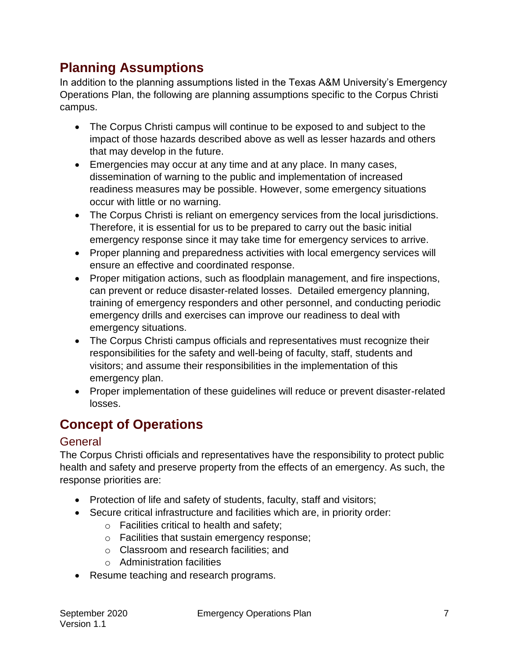# <span id="page-7-0"></span>**Planning Assumptions**

In addition to the planning assumptions listed in the Texas A&M University's Emergency Operations Plan, the following are planning assumptions specific to the Corpus Christi campus.

- The Corpus Christi campus will continue to be exposed to and subject to the impact of those hazards described above as well as lesser hazards and others that may develop in the future.
- Emergencies may occur at any time and at any place. In many cases, dissemination of warning to the public and implementation of increased readiness measures may be possible. However, some emergency situations occur with little or no warning.
- The Corpus Christi is reliant on emergency services from the local jurisdictions. Therefore, it is essential for us to be prepared to carry out the basic initial emergency response since it may take time for emergency services to arrive.
- Proper planning and preparedness activities with local emergency services will ensure an effective and coordinated response.
- Proper mitigation actions, such as floodplain management, and fire inspections, can prevent or reduce disaster-related losses. Detailed emergency planning, training of emergency responders and other personnel, and conducting periodic emergency drills and exercises can improve our readiness to deal with emergency situations.
- The Corpus Christi campus officials and representatives must recognize their responsibilities for the safety and well-being of faculty, staff, students and visitors; and assume their responsibilities in the implementation of this emergency plan.
- Proper implementation of these guidelines will reduce or prevent disaster-related losses.

# <span id="page-7-1"></span>**Concept of Operations**

### <span id="page-7-2"></span>General

The Corpus Christi officials and representatives have the responsibility to protect public health and safety and preserve property from the effects of an emergency. As such, the response priorities are:

- Protection of life and safety of students, faculty, staff and visitors;
- Secure critical infrastructure and facilities which are, in priority order:
	- o Facilities critical to health and safety;
	- o Facilities that sustain emergency response;
	- o Classroom and research facilities; and
	- o Administration facilities
- Resume teaching and research programs.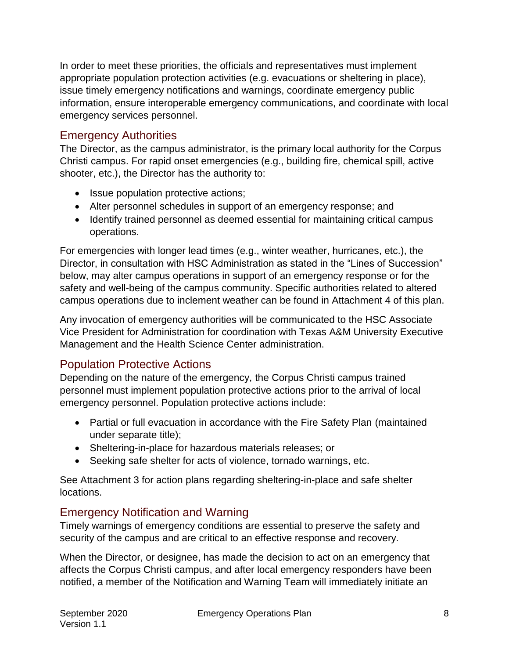In order to meet these priorities, the officials and representatives must implement appropriate population protection activities (e.g. evacuations or sheltering in place), issue timely emergency notifications and warnings, coordinate emergency public information, ensure interoperable emergency communications, and coordinate with local emergency services personnel.

### <span id="page-8-0"></span>Emergency Authorities

The Director, as the campus administrator, is the primary local authority for the Corpus Christi campus. For rapid onset emergencies (e.g., building fire, chemical spill, active shooter, etc.), the Director has the authority to:

- Issue population protective actions;
- Alter personnel schedules in support of an emergency response; and
- Identify trained personnel as deemed essential for maintaining critical campus operations.

For emergencies with longer lead times (e.g., winter weather, hurricanes, etc.), the Director, in consultation with HSC Administration as stated in the "Lines of Succession" below, may alter campus operations in support of an emergency response or for the safety and well-being of the campus community. Specific authorities related to altered campus operations due to inclement weather can be found in Attachment 4 of this plan.

Any invocation of emergency authorities will be communicated to the HSC Associate Vice President for Administration for coordination with Texas A&M University Executive Management and the Health Science Center administration.

### <span id="page-8-1"></span>Population Protective Actions

Depending on the nature of the emergency, the Corpus Christi campus trained personnel must implement population protective actions prior to the arrival of local emergency personnel. Population protective actions include:

- Partial or full evacuation in accordance with the Fire Safety Plan (maintained under separate title);
- Sheltering-in-place for hazardous materials releases; or
- Seeking safe shelter for acts of violence, tornado warnings, etc.

See Attachment 3 for action plans regarding sheltering-in-place and safe shelter locations.

### <span id="page-8-2"></span>Emergency Notification and Warning

Timely warnings of emergency conditions are essential to preserve the safety and security of the campus and are critical to an effective response and recovery.

When the Director, or designee, has made the decision to act on an emergency that affects the Corpus Christi campus, and after local emergency responders have been notified, a member of the Notification and Warning Team will immediately initiate an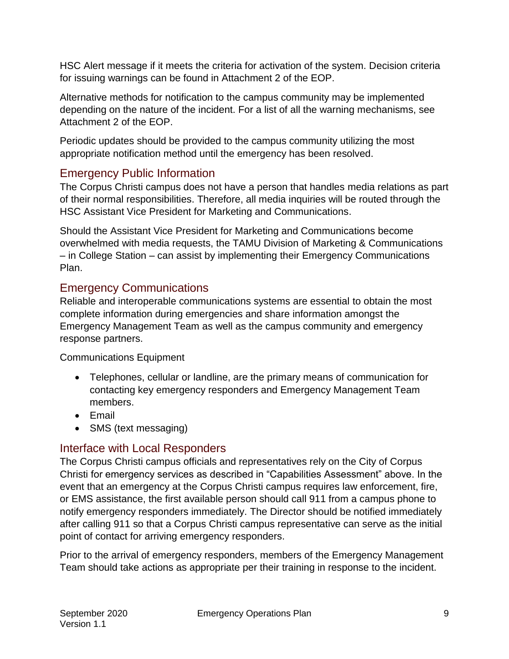HSC Alert message if it meets the criteria for activation of the system. Decision criteria for issuing warnings can be found in Attachment 2 of the EOP.

Alternative methods for notification to the campus community may be implemented depending on the nature of the incident. For a list of all the warning mechanisms, see Attachment 2 of the EOP.

Periodic updates should be provided to the campus community utilizing the most appropriate notification method until the emergency has been resolved.

### <span id="page-9-0"></span>Emergency Public Information

The Corpus Christi campus does not have a person that handles media relations as part of their normal responsibilities. Therefore, all media inquiries will be routed through the HSC Assistant Vice President for Marketing and Communications.

Should the Assistant Vice President for Marketing and Communications become overwhelmed with media requests, the TAMU Division of Marketing & Communications – in College Station – can assist by implementing their Emergency Communications Plan.

### <span id="page-9-1"></span>Emergency Communications

Reliable and interoperable communications systems are essential to obtain the most complete information during emergencies and share information amongst the Emergency Management Team as well as the campus community and emergency response partners.

Communications Equipment

- Telephones, cellular or landline, are the primary means of communication for contacting key emergency responders and Emergency Management Team members.
- Email
- SMS (text messaging)

### <span id="page-9-2"></span>Interface with Local Responders

The Corpus Christi campus officials and representatives rely on the City of Corpus Christi for emergency services as described in "Capabilities Assessment" above. In the event that an emergency at the Corpus Christi campus requires law enforcement, fire, or EMS assistance, the first available person should call 911 from a campus phone to notify emergency responders immediately. The Director should be notified immediately after calling 911 so that a Corpus Christi campus representative can serve as the initial point of contact for arriving emergency responders.

Prior to the arrival of emergency responders, members of the Emergency Management Team should take actions as appropriate per their training in response to the incident.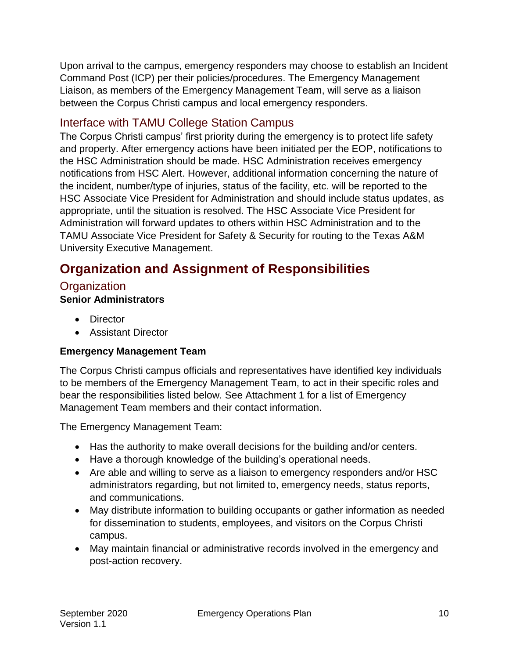Upon arrival to the campus, emergency responders may choose to establish an Incident Command Post (ICP) per their policies/procedures. The Emergency Management Liaison, as members of the Emergency Management Team, will serve as a liaison between the Corpus Christi campus and local emergency responders.

### <span id="page-10-0"></span>Interface with TAMU College Station Campus

The Corpus Christi campus' first priority during the emergency is to protect life safety and property. After emergency actions have been initiated per the EOP, notifications to the HSC Administration should be made. HSC Administration receives emergency notifications from HSC Alert. However, additional information concerning the nature of the incident, number/type of injuries, status of the facility, etc. will be reported to the HSC Associate Vice President for Administration and should include status updates, as appropriate, until the situation is resolved. The HSC Associate Vice President for Administration will forward updates to others within HSC Administration and to the TAMU Associate Vice President for Safety & Security for routing to the Texas A&M University Executive Management.

# <span id="page-10-1"></span>**Organization and Assignment of Responsibilities**

### <span id="page-10-2"></span>**Organization**

### **Senior Administrators**

- Director
- Assistant Director

### **Emergency Management Team**

The Corpus Christi campus officials and representatives have identified key individuals to be members of the Emergency Management Team, to act in their specific roles and bear the responsibilities listed below. See Attachment 1 for a list of Emergency Management Team members and their contact information.

The Emergency Management Team:

- Has the authority to make overall decisions for the building and/or centers.
- Have a thorough knowledge of the building's operational needs.
- Are able and willing to serve as a liaison to emergency responders and/or HSC administrators regarding, but not limited to, emergency needs, status reports, and communications.
- May distribute information to building occupants or gather information as needed for dissemination to students, employees, and visitors on the Corpus Christi campus.
- May maintain financial or administrative records involved in the emergency and post-action recovery.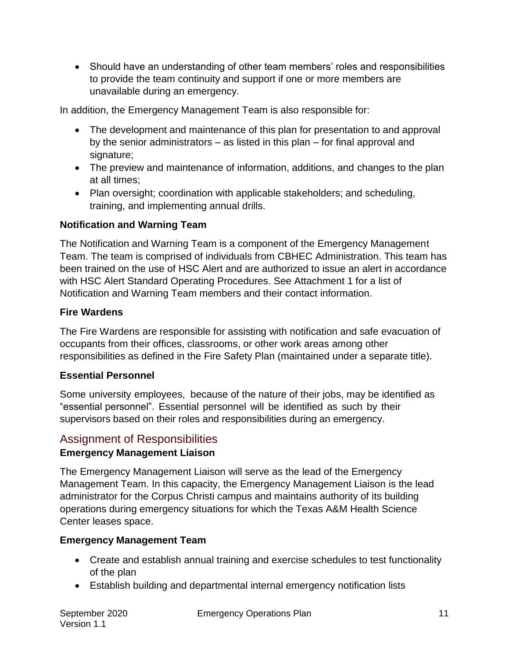Should have an understanding of other team members' roles and responsibilities to provide the team continuity and support if one or more members are unavailable during an emergency.

In addition, the Emergency Management Team is also responsible for:

- The development and maintenance of this plan for presentation to and approval by the senior administrators – as listed in this plan – for final approval and signature;
- The preview and maintenance of information, additions, and changes to the plan at all times;
- Plan oversight; coordination with applicable stakeholders; and scheduling, training, and implementing annual drills.

### **Notification and Warning Team**

The Notification and Warning Team is a component of the Emergency Management Team. The team is comprised of individuals from CBHEC Administration. This team has been trained on the use of HSC Alert and are authorized to issue an alert in accordance with HSC Alert Standard Operating Procedures. See Attachment 1 for a list of Notification and Warning Team members and their contact information.

### **Fire Wardens**

The Fire Wardens are responsible for assisting with notification and safe evacuation of occupants from their offices, classrooms, or other work areas among other responsibilities as defined in the Fire Safety Plan (maintained under a separate title).

#### **Essential Personnel**

Some university employees, because of the nature of their jobs, may be identified as "essential personnel". Essential personnel will be identified as such by their supervisors based on their roles and responsibilities during an emergency.

### <span id="page-11-0"></span>Assignment of Responsibilities

### **Emergency Management Liaison**

The Emergency Management Liaison will serve as the lead of the Emergency Management Team. In this capacity, the Emergency Management Liaison is the lead administrator for the Corpus Christi campus and maintains authority of its building operations during emergency situations for which the Texas A&M Health Science Center leases space.

#### **Emergency Management Team**

- Create and establish annual training and exercise schedules to test functionality of the plan
- Establish building and departmental internal emergency notification lists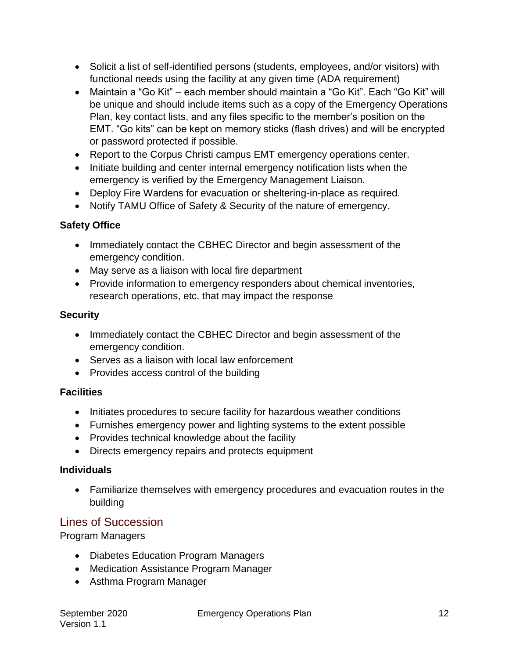- Solicit a list of self-identified persons (students, employees, and/or visitors) with functional needs using the facility at any given time (ADA requirement)
- Maintain a "Go Kit" each member should maintain a "Go Kit". Each "Go Kit" will be unique and should include items such as a copy of the Emergency Operations Plan, key contact lists, and any files specific to the member's position on the EMT. "Go kits" can be kept on memory sticks (flash drives) and will be encrypted or password protected if possible.
- Report to the Corpus Christi campus EMT emergency operations center.
- Initiate building and center internal emergency notification lists when the emergency is verified by the Emergency Management Liaison.
- Deploy Fire Wardens for evacuation or sheltering-in-place as required.
- Notify TAMU Office of Safety & Security of the nature of emergency.

### **Safety Office**

- Immediately contact the CBHEC Director and begin assessment of the emergency condition.
- May serve as a liaison with local fire department
- Provide information to emergency responders about chemical inventories, research operations, etc. that may impact the response

### **Security**

- Immediately contact the CBHEC Director and begin assessment of the emergency condition.
- Serves as a liaison with local law enforcement
- Provides access control of the building

### **Facilities**

- Initiates procedures to secure facility for hazardous weather conditions
- Furnishes emergency power and lighting systems to the extent possible
- Provides technical knowledge about the facility
- Directs emergency repairs and protects equipment

### **Individuals**

 Familiarize themselves with emergency procedures and evacuation routes in the building

### <span id="page-12-0"></span>Lines of Succession

Program Managers

- Diabetes Education Program Managers
- Medication Assistance Program Manager
- Asthma Program Manager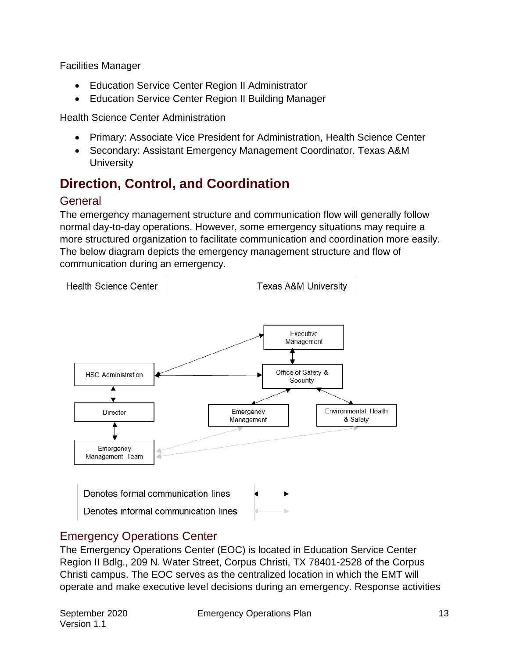Facilities Manager

- Education Service Center Region II Administrator
- Education Service Center Region II Building Manager

Health Science Center Administration

- Primary: Associate Vice President for Administration, Health Science Center
- Secondary: Assistant Emergency Management Coordinator, Texas A&M **University**

# <span id="page-13-0"></span>**Direction, Control, and Coordination**

### <span id="page-13-1"></span>**General**

The emergency management structure and communication flow will generally follow normal day-to-day operations. However, some emergency situations may require a more structured organization to facilitate communication and coordination more easily. The below diagram depicts the emergency management structure and flow of communication during an emergency.

**Health Science Center Texas A&M University** 



### <span id="page-13-2"></span>Emergency Operations Center

The Emergency Operations Center (EOC) is located in Education Service Center Region II Bdlg., 209 N. Water Street, Corpus Christi, TX 78401-2528 of the Corpus Christi campus. The EOC serves as the centralized location in which the EMT will operate and make executive level decisions during an emergency. Response activities

Version 1.1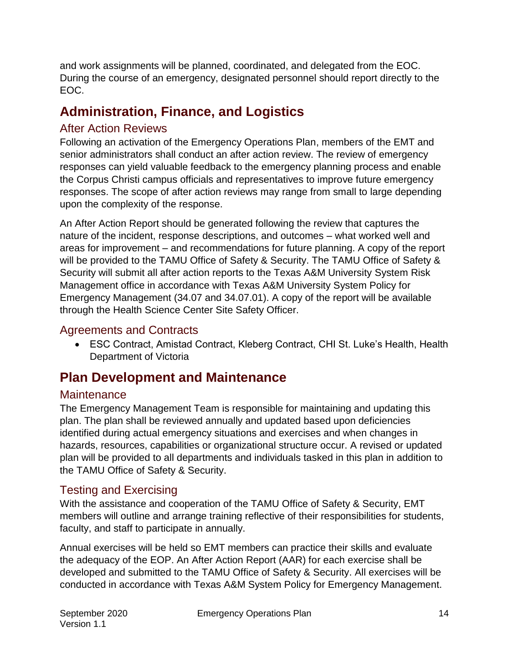and work assignments will be planned, coordinated, and delegated from the EOC. During the course of an emergency, designated personnel should report directly to the EOC.

# <span id="page-14-0"></span>**Administration, Finance, and Logistics**

### <span id="page-14-1"></span>After Action Reviews

Following an activation of the Emergency Operations Plan, members of the EMT and senior administrators shall conduct an after action review. The review of emergency responses can yield valuable feedback to the emergency planning process and enable the Corpus Christi campus officials and representatives to improve future emergency responses. The scope of after action reviews may range from small to large depending upon the complexity of the response.

An After Action Report should be generated following the review that captures the nature of the incident, response descriptions, and outcomes – what worked well and areas for improvement – and recommendations for future planning. A copy of the report will be provided to the TAMU Office of Safety & Security. The TAMU Office of Safety & Security will submit all after action reports to the Texas A&M University System Risk Management office in accordance with Texas A&M University System Policy for Emergency Management (34.07 and 34.07.01). A copy of the report will be available through the Health Science Center Site Safety Officer.

### <span id="page-14-2"></span>Agreements and Contracts

 ESC Contract, Amistad Contract, Kleberg Contract, CHI St. Luke's Health, Health Department of Victoria

# <span id="page-14-3"></span>**Plan Development and Maintenance**

### <span id="page-14-4"></span>**Maintenance**

The Emergency Management Team is responsible for maintaining and updating this plan. The plan shall be reviewed annually and updated based upon deficiencies identified during actual emergency situations and exercises and when changes in hazards, resources, capabilities or organizational structure occur. A revised or updated plan will be provided to all departments and individuals tasked in this plan in addition to the TAMU Office of Safety & Security.

### <span id="page-14-5"></span>Testing and Exercising

With the assistance and cooperation of the TAMU Office of Safety & Security, EMT members will outline and arrange training reflective of their responsibilities for students, faculty, and staff to participate in annually.

Annual exercises will be held so EMT members can practice their skills and evaluate the adequacy of the EOP. An After Action Report (AAR) for each exercise shall be developed and submitted to the TAMU Office of Safety & Security. All exercises will be conducted in accordance with Texas A&M System Policy for Emergency Management.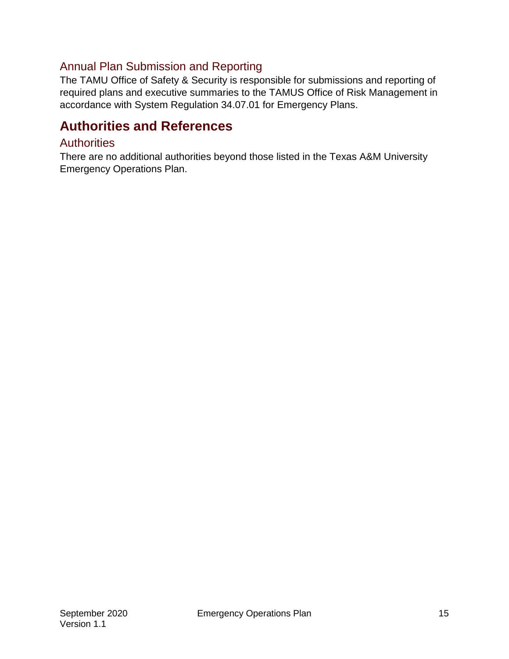### <span id="page-15-0"></span>Annual Plan Submission and Reporting

The TAMU Office of Safety & Security is responsible for submissions and reporting of required plans and executive summaries to the TAMUS Office of Risk Management in accordance with System Regulation 34.07.01 for Emergency Plans.

### <span id="page-15-1"></span>**Authorities and References**

### <span id="page-15-2"></span>**Authorities**

There are no additional authorities beyond those listed in the Texas A&M University Emergency Operations Plan.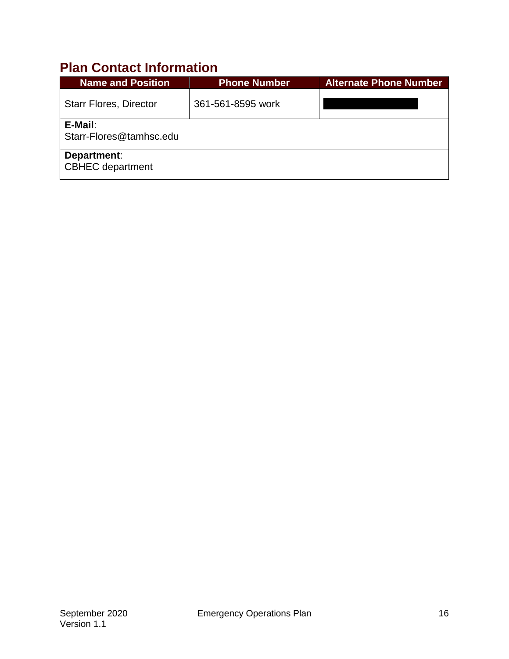# <span id="page-16-0"></span>**Plan Contact Information**

| <b>Name and Position</b>               | <b>Phone Number</b> | <b>Alternate Phone Number</b> |
|----------------------------------------|---------------------|-------------------------------|
| <b>Starr Flores, Director</b>          | 361-561-8595 work   |                               |
| E-Mail:<br>Starr-Flores@tamhsc.edu     |                     |                               |
| Department:<br><b>CBHEC</b> department |                     |                               |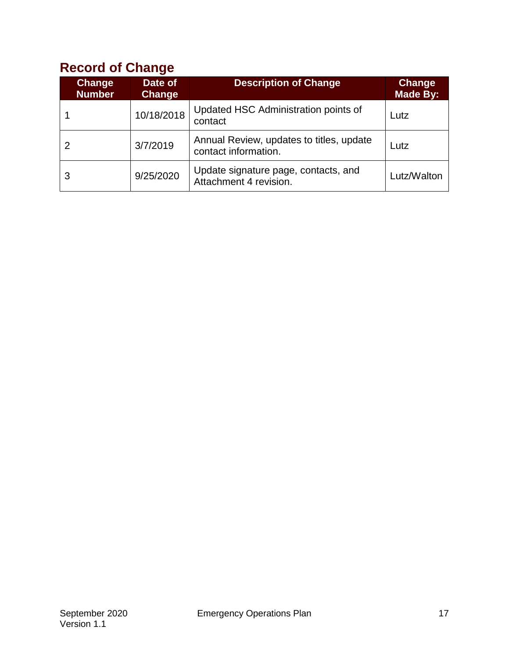# <span id="page-17-0"></span>**Record of Change**

| Change<br><b>Number</b> | Date of<br>Change | <b>Description of Change</b>                                     | <b>Change</b><br><b>Made By:</b> |
|-------------------------|-------------------|------------------------------------------------------------------|----------------------------------|
|                         | 10/18/2018        | Updated HSC Administration points of<br>contact                  | Lutz                             |
|                         | 3/7/2019          | Annual Review, updates to titles, update<br>contact information. | Lutz                             |
| 3                       | 9/25/2020         | Update signature page, contacts, and<br>Attachment 4 revision.   | Lutz/Walton                      |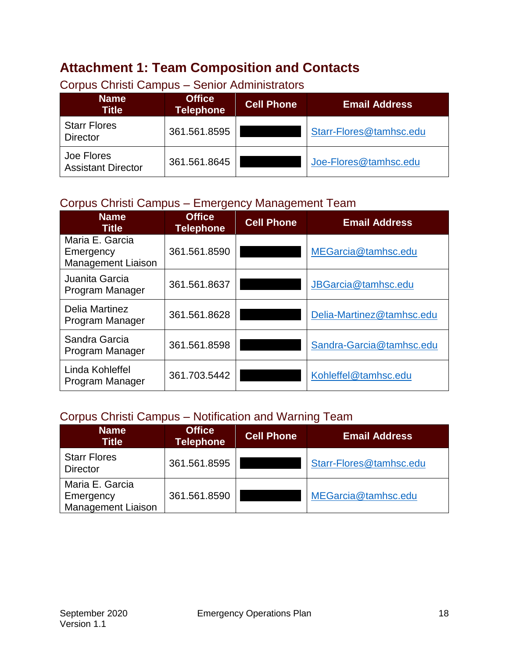# <span id="page-18-0"></span>**Attachment 1: Team Composition and Contacts**

| <b>Name</b><br>Title                    | <b>Office</b><br><b>Telephone</b> | <b>Cell Phone</b> | <b>Email Address</b>    |
|-----------------------------------------|-----------------------------------|-------------------|-------------------------|
| <b>Starr Flores</b><br><b>Director</b>  | 361.561.8595                      |                   | Starr-Flores@tamhsc.edu |
| Joe Flores<br><b>Assistant Director</b> | 361.561.8645                      |                   | Joe-Flores@tamhsc.edu   |

# <span id="page-18-1"></span>Corpus Christi Campus – Senior Administrators

### <span id="page-18-2"></span>Corpus Christi Campus – Emergency Management Team

| <b>Name</b><br><b>Title</b>                               | <b>Office</b><br><b>Telephone</b> | <b>Cell Phone</b> | <b>Email Address</b>      |
|-----------------------------------------------------------|-----------------------------------|-------------------|---------------------------|
| Maria E. Garcia<br>Emergency<br><b>Management Liaison</b> | 361.561.8590                      |                   | MEGarcia@tamhsc.edu       |
| Juanita Garcia<br>Program Manager                         | 361.561.8637                      |                   | JBGarcia@tamhsc.edu       |
| Delia Martinez<br>Program Manager                         | 361.561.8628                      |                   | Delia-Martinez@tamhsc.edu |
| Sandra Garcia<br>Program Manager                          | 361.561.8598                      |                   | Sandra-Garcia@tamhsc.edu  |
| Linda Kohleffel<br>Program Manager                        | 361.703.5442                      |                   | Kohleffel@tamhsc.edu      |

### <span id="page-18-3"></span>Corpus Christi Campus – Notification and Warning Team

| <b>Name</b><br><b>Title</b>                               | <b>Office</b><br><b>Telephone</b> | <b>Cell Phone</b> | <b>Email Address</b>    |
|-----------------------------------------------------------|-----------------------------------|-------------------|-------------------------|
| <b>Starr Flores</b><br><b>Director</b>                    | 361.561.8595                      |                   | Starr-Flores@tamhsc.edu |
| Maria E. Garcia<br>Emergency<br><b>Management Liaison</b> | 361.561.8590                      |                   | MEGarcia@tamhsc.edu     |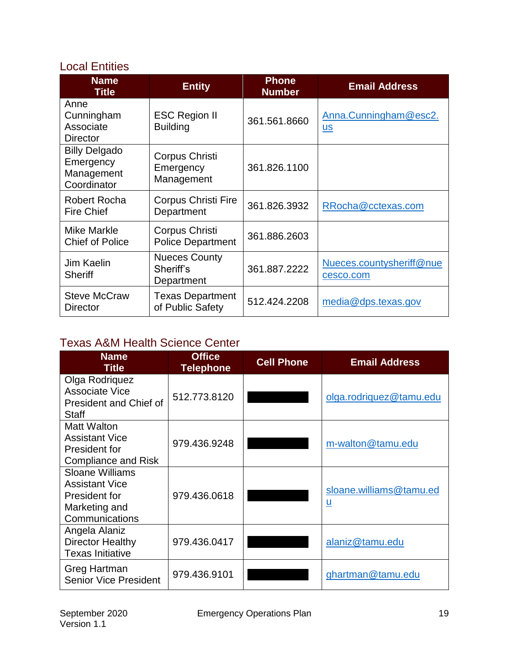### <span id="page-19-0"></span>Local Entities

| <b>Name</b><br><b>Title</b>                                    | <b>Entity</b>                                   | <b>Phone</b><br><b>Number</b> | <b>Email Address</b>                  |
|----------------------------------------------------------------|-------------------------------------------------|-------------------------------|---------------------------------------|
| Anne<br>Cunningham<br>Associate<br><b>Director</b>             | <b>ESC Region II</b><br><b>Building</b>         | 361.561.8660                  | Anna.Cunningham@esc2.<br><u>us</u>    |
| <b>Billy Delgado</b><br>Emergency<br>Management<br>Coordinator | Corpus Christi<br>Emergency<br>Management       | 361.826.1100                  |                                       |
| Robert Rocha<br><b>Fire Chief</b>                              | Corpus Christi Fire<br>Department               | 361.826.3932                  | RRocha@cctexas.com                    |
| <b>Mike Markle</b><br><b>Chief of Police</b>                   | Corpus Christi<br><b>Police Department</b>      | 361.886.2603                  |                                       |
| Jim Kaelin<br><b>Sheriff</b>                                   | <b>Nueces County</b><br>Sheriff's<br>Department | 361.887.2222                  | Nueces.countysheriff@nue<br>cesco.com |
| <b>Steve McCraw</b><br>Director                                | <b>Texas Department</b><br>of Public Safety     | 512.424.2208                  | $media@dps.$ texas.gov                |

### <span id="page-19-1"></span>Texas A&M Health Science Center

| <b>Name</b><br><b>Title</b>                                                                         | <b>Office</b><br><b>Telephone</b> | <b>Cell Phone</b> | <b>Email Address</b>                                |
|-----------------------------------------------------------------------------------------------------|-----------------------------------|-------------------|-----------------------------------------------------|
| Olga Rodriquez<br>Associate Vice<br>President and Chief of<br><b>Staff</b>                          | 512.773.8120                      |                   | olga.rodriquez@tamu.edu                             |
| Matt Walton<br><b>Assistant Vice</b><br>President for<br><b>Compliance and Risk</b>                 | 979.436.9248                      |                   | m-walton@tamu.edu                                   |
| <b>Sloane Williams</b><br><b>Assistant Vice</b><br>President for<br>Marketing and<br>Communications | 979.436.0618                      |                   | sloane.williams@tamu.ed<br>$\underline{\mathsf{u}}$ |
| Angela Alaniz<br><b>Director Healthy</b><br><b>Texas Initiative</b>                                 | 979.436.0417                      |                   | alaniz@tamu.edu                                     |
| Greg Hartman<br><b>Senior Vice President</b>                                                        | 979.436.9101                      |                   | ghartman@tamu.edu                                   |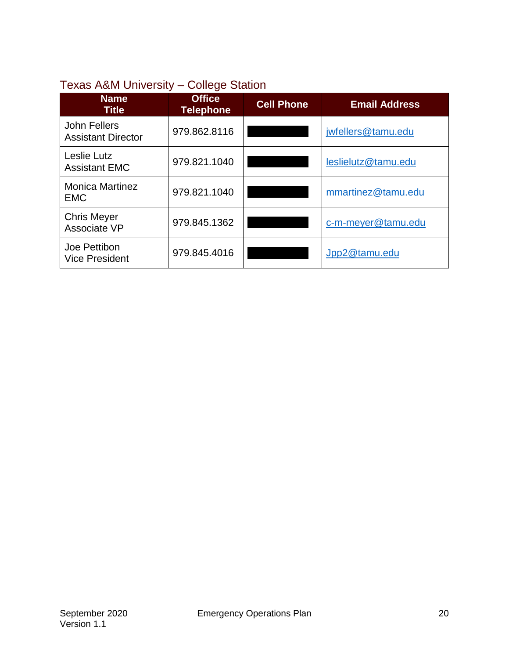### <span id="page-20-0"></span>Texas A&M University – College Station

| <b>Name</b><br><b>Title</b>                | <b>Office</b><br><b>Telephone</b> | <b>Cell Phone</b> | <b>Email Address</b> |
|--------------------------------------------|-----------------------------------|-------------------|----------------------|
| John Fellers<br><b>Assistant Director</b>  | 979.862.8116                      |                   | jwfellers@tamu.edu   |
| <b>Leslie Lutz</b><br><b>Assistant EMC</b> | 979.821.1040                      |                   | leslielutz@tamu.edu  |
| <b>Monica Martinez</b><br><b>EMC</b>       | 979.821.1040                      |                   | mmartinez@tamu.edu   |
| <b>Chris Meyer</b><br>Associate VP         | 979.845.1362                      |                   | c-m-meyer@tamu.edu   |
| Joe Pettibon<br><b>Vice President</b>      | 979.845.4016                      |                   | Jpp2@tamu.edu        |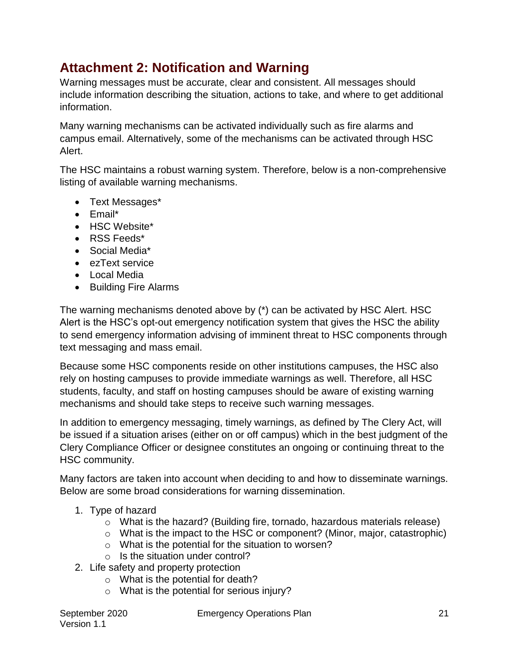# <span id="page-21-0"></span>**Attachment 2: Notification and Warning**

Warning messages must be accurate, clear and consistent. All messages should include information describing the situation, actions to take, and where to get additional information.

Many warning mechanisms can be activated individually such as fire alarms and campus email. Alternatively, some of the mechanisms can be activated through HSC Alert.

The HSC maintains a robust warning system. Therefore, below is a non-comprehensive listing of available warning mechanisms.

- Text Messages\*
- Email\*
- HSC Website\*
- RSS Feeds\*
- Social Media\*
- ezText service
- Local Media
- Building Fire Alarms

The warning mechanisms denoted above by (\*) can be activated by HSC Alert. HSC Alert is the HSC's opt-out emergency notification system that gives the HSC the ability to send emergency information advising of imminent threat to HSC components through text messaging and mass email.

Because some HSC components reside on other institutions campuses, the HSC also rely on hosting campuses to provide immediate warnings as well. Therefore, all HSC students, faculty, and staff on hosting campuses should be aware of existing warning mechanisms and should take steps to receive such warning messages.

In addition to emergency messaging, timely warnings, as defined by The Clery Act, will be issued if a situation arises (either on or off campus) which in the best judgment of the Clery Compliance Officer or designee constitutes an ongoing or continuing threat to the HSC community.

Many factors are taken into account when deciding to and how to disseminate warnings. Below are some broad considerations for warning dissemination.

- 1. Type of hazard
	- o What is the hazard? (Building fire, tornado, hazardous materials release)
	- o What is the impact to the HSC or component? (Minor, major, catastrophic)
	- o What is the potential for the situation to worsen?
	- o Is the situation under control?
- 2. Life safety and property protection
	- o What is the potential for death?
	- o What is the potential for serious injury?

September 2020 Emergency Operations Plan 21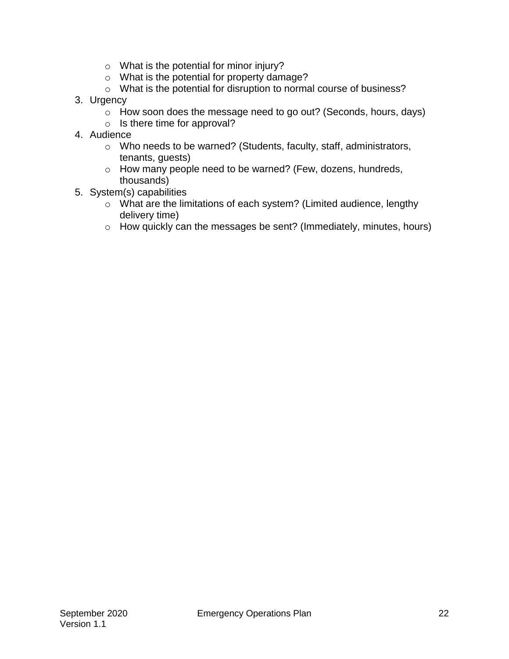- o What is the potential for minor injury?
- o What is the potential for property damage?
- o What is the potential for disruption to normal course of business?
- 3. Urgency
	- $\circ$  How soon does the message need to go out? (Seconds, hours, days)
	- o Is there time for approval?
- 4. Audience
	- o Who needs to be warned? (Students, faculty, staff, administrators, tenants, guests)
	- o How many people need to be warned? (Few, dozens, hundreds, thousands)
- 5. System(s) capabilities
	- o What are the limitations of each system? (Limited audience, lengthy delivery time)
	- $\circ$  How quickly can the messages be sent? (Immediately, minutes, hours)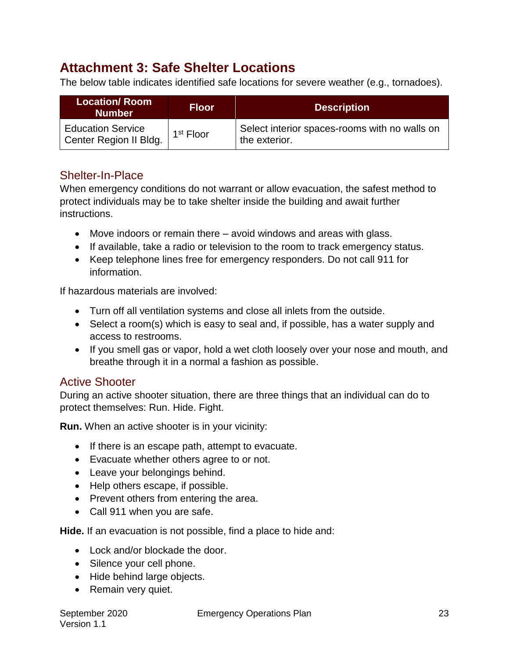# <span id="page-23-0"></span>**Attachment 3: Safe Shelter Locations**

The below table indicates identified safe locations for severe weather (e.g., tornadoes).

| <b>Location/Room</b><br><b>Number</b>              | <b>Floor</b>          | <b>Description</b>                                             |
|----------------------------------------------------|-----------------------|----------------------------------------------------------------|
| <b>Education Service</b><br>Center Region II Bldg. | 1 <sup>st</sup> Floor | Select interior spaces-rooms with no walls on<br>the exterior. |

### <span id="page-23-1"></span>Shelter-In-Place

When emergency conditions do not warrant or allow evacuation, the safest method to protect individuals may be to take shelter inside the building and await further instructions.

- Move indoors or remain there avoid windows and areas with glass.
- If available, take a radio or television to the room to track emergency status.
- Keep telephone lines free for emergency responders. Do not call 911 for information.

If hazardous materials are involved:

- Turn off all ventilation systems and close all inlets from the outside.
- Select a room(s) which is easy to seal and, if possible, has a water supply and access to restrooms.
- If you smell gas or vapor, hold a wet cloth loosely over your nose and mouth, and breathe through it in a normal a fashion as possible.

### <span id="page-23-2"></span>Active Shooter

During an active shooter situation, there are three things that an individual can do to protect themselves: Run. Hide. Fight.

**Run.** When an active shooter is in your vicinity:

- If there is an escape path, attempt to evacuate.
- Evacuate whether others agree to or not.
- Leave your belongings behind.
- Help others escape, if possible.
- Prevent others from entering the area.
- Call 911 when you are safe.

**Hide.** If an evacuation is not possible, find a place to hide and:

- Lock and/or blockade the door.
- Silence your cell phone.
- Hide behind large objects.
- Remain very quiet.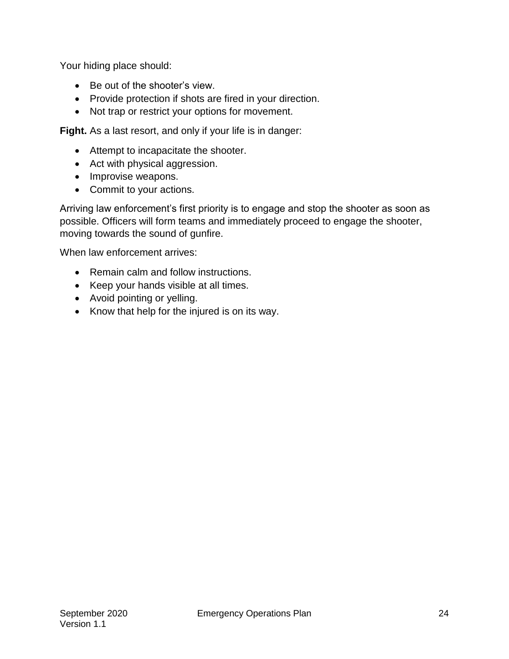Your hiding place should:

- Be out of the shooter's view.
- Provide protection if shots are fired in your direction.
- Not trap or restrict your options for movement.

**Fight.** As a last resort, and only if your life is in danger:

- Attempt to incapacitate the shooter.
- Act with physical aggression.
- Improvise weapons.
- Commit to your actions.

Arriving law enforcement's first priority is to engage and stop the shooter as soon as possible. Officers will form teams and immediately proceed to engage the shooter, moving towards the sound of gunfire.

When law enforcement arrives:

- Remain calm and follow instructions.
- Keep your hands visible at all times.
- Avoid pointing or yelling.
- Know that help for the injured is on its way.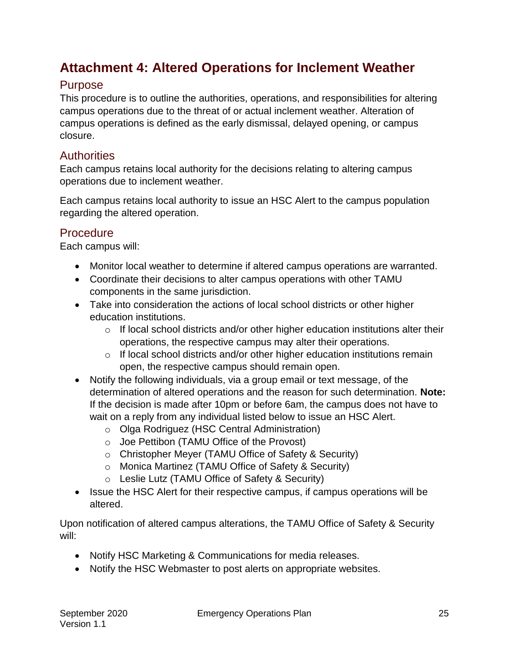# <span id="page-25-0"></span>**Attachment 4: Altered Operations for Inclement Weather**

### <span id="page-25-1"></span>Purpose

This procedure is to outline the authorities, operations, and responsibilities for altering campus operations due to the threat of or actual inclement weather. Alteration of campus operations is defined as the early dismissal, delayed opening, or campus closure.

### <span id="page-25-2"></span>**Authorities**

Each campus retains local authority for the decisions relating to altering campus operations due to inclement weather.

Each campus retains local authority to issue an HSC Alert to the campus population regarding the altered operation.

### <span id="page-25-3"></span>Procedure

Each campus will:

- Monitor local weather to determine if altered campus operations are warranted.
- Coordinate their decisions to alter campus operations with other TAMU components in the same jurisdiction.
- Take into consideration the actions of local school districts or other higher education institutions.
	- $\circ$  If local school districts and/or other higher education institutions alter their operations, the respective campus may alter their operations.
	- $\circ$  If local school districts and/or other higher education institutions remain open, the respective campus should remain open.
- Notify the following individuals, via a group email or text message, of the determination of altered operations and the reason for such determination. **Note:** If the decision is made after 10pm or before 6am, the campus does not have to wait on a reply from any individual listed below to issue an HSC Alert.
	- o Olga Rodriguez (HSC Central Administration)
	- o Joe Pettibon (TAMU Office of the Provost)
	- o Christopher Meyer (TAMU Office of Safety & Security)
	- o Monica Martinez (TAMU Office of Safety & Security)
	- o Leslie Lutz (TAMU Office of Safety & Security)
- Issue the HSC Alert for their respective campus, if campus operations will be altered.

Upon notification of altered campus alterations, the TAMU Office of Safety & Security will:

- Notify HSC Marketing & Communications for media releases.
- Notify the HSC Webmaster to post alerts on appropriate websites.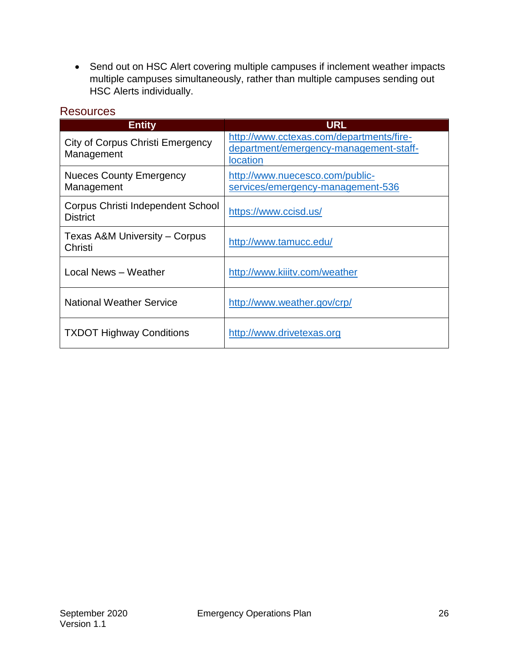Send out on HSC Alert covering multiple campuses if inclement weather impacts multiple campuses simultaneously, rather than multiple campuses sending out HSC Alerts individually.

<span id="page-26-0"></span>

| <b>Resources</b> |  |
|------------------|--|
|                  |  |

| <b>Entity</b>                                        | <b>URL</b>                                                                                            |  |  |
|------------------------------------------------------|-------------------------------------------------------------------------------------------------------|--|--|
| City of Corpus Christi Emergency<br>Management       | http://www.cctexas.com/departments/fire-<br>department/emergency-management-staff-<br><b>location</b> |  |  |
| <b>Nueces County Emergency</b><br>Management         | http://www.nuecesco.com/public-<br>services/emergency-management-536                                  |  |  |
| Corpus Christi Independent School<br><b>District</b> | https://www.ccisd.us/                                                                                 |  |  |
| Texas A&M University – Corpus<br>Christi             | http://www.tamucc.edu/                                                                                |  |  |
| Local News - Weather                                 | http://www.kiiitv.com/weather                                                                         |  |  |
| <b>National Weather Service</b>                      | http://www.weather.gov/crp/                                                                           |  |  |
| <b>TXDOT Highway Conditions</b>                      | http://www.drivetexas.org                                                                             |  |  |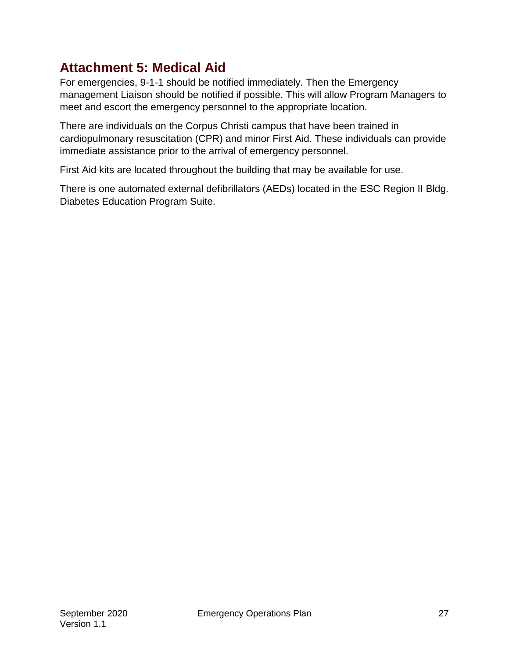# <span id="page-27-0"></span>**Attachment 5: Medical Aid**

For emergencies, 9-1-1 should be notified immediately. Then the Emergency management Liaison should be notified if possible. This will allow Program Managers to meet and escort the emergency personnel to the appropriate location.

There are individuals on the Corpus Christi campus that have been trained in cardiopulmonary resuscitation (CPR) and minor First Aid. These individuals can provide immediate assistance prior to the arrival of emergency personnel.

First Aid kits are located throughout the building that may be available for use.

There is one automated external defibrillators (AEDs) located in the ESC Region II Bldg. Diabetes Education Program Suite.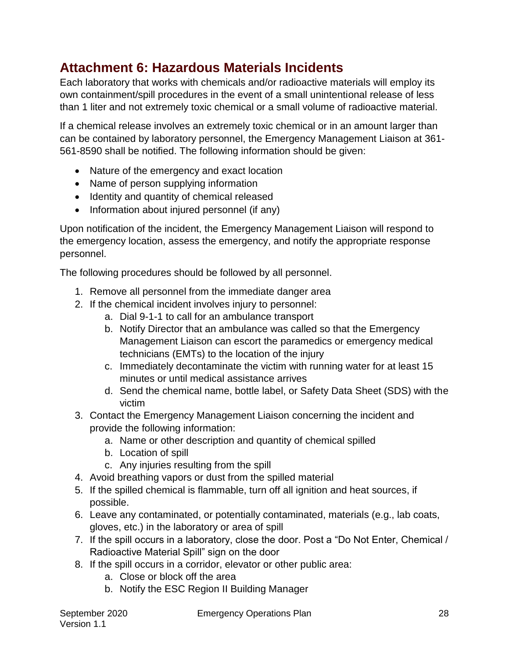# <span id="page-28-0"></span>**Attachment 6: Hazardous Materials Incidents**

Each laboratory that works with chemicals and/or radioactive materials will employ its own containment/spill procedures in the event of a small unintentional release of less than 1 liter and not extremely toxic chemical or a small volume of radioactive material.

If a chemical release involves an extremely toxic chemical or in an amount larger than can be contained by laboratory personnel, the Emergency Management Liaison at 361- 561-8590 shall be notified. The following information should be given:

- Nature of the emergency and exact location
- Name of person supplying information
- Identity and quantity of chemical released
- Information about injured personnel (if any)

Upon notification of the incident, the Emergency Management Liaison will respond to the emergency location, assess the emergency, and notify the appropriate response personnel.

The following procedures should be followed by all personnel.

- 1. Remove all personnel from the immediate danger area
- 2. If the chemical incident involves injury to personnel:
	- a. Dial 9-1-1 to call for an ambulance transport
	- b. Notify Director that an ambulance was called so that the Emergency Management Liaison can escort the paramedics or emergency medical technicians (EMTs) to the location of the injury
	- c. Immediately decontaminate the victim with running water for at least 15 minutes or until medical assistance arrives
	- d. Send the chemical name, bottle label, or Safety Data Sheet (SDS) with the victim
- 3. Contact the Emergency Management Liaison concerning the incident and provide the following information:
	- a. Name or other description and quantity of chemical spilled
	- b. Location of spill
	- c. Any injuries resulting from the spill
- 4. Avoid breathing vapors or dust from the spilled material
- 5. If the spilled chemical is flammable, turn off all ignition and heat sources, if possible.
- 6. Leave any contaminated, or potentially contaminated, materials (e.g., lab coats, gloves, etc.) in the laboratory or area of spill
- 7. If the spill occurs in a laboratory, close the door. Post a "Do Not Enter, Chemical / Radioactive Material Spill" sign on the door
- 8. If the spill occurs in a corridor, elevator or other public area:
	- a. Close or block off the area
	- b. Notify the ESC Region II Building Manager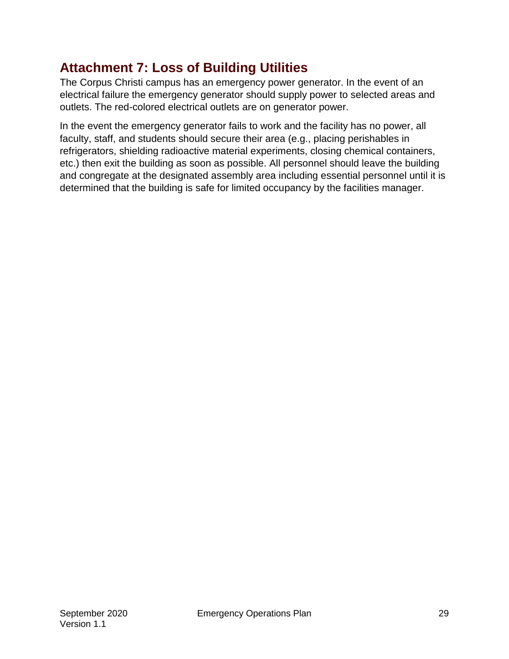# <span id="page-29-0"></span>**Attachment 7: Loss of Building Utilities**

The Corpus Christi campus has an emergency power generator. In the event of an electrical failure the emergency generator should supply power to selected areas and outlets. The red-colored electrical outlets are on generator power.

In the event the emergency generator fails to work and the facility has no power, all faculty, staff, and students should secure their area (e.g., placing perishables in refrigerators, shielding radioactive material experiments, closing chemical containers, etc.) then exit the building as soon as possible. All personnel should leave the building and congregate at the designated assembly area including essential personnel until it is determined that the building is safe for limited occupancy by the facilities manager.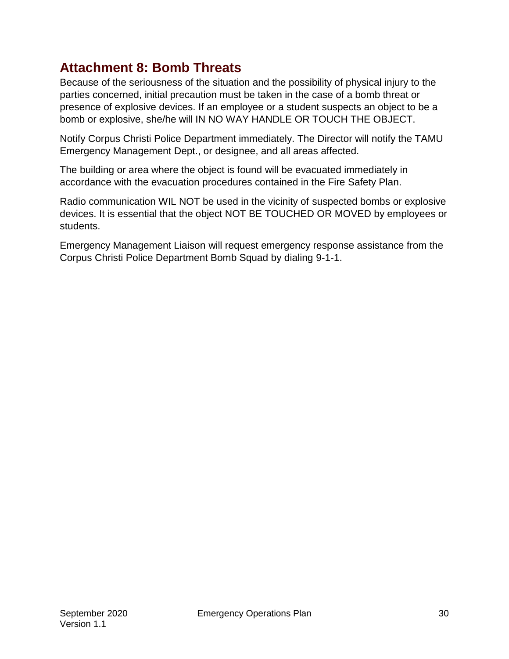# <span id="page-30-0"></span>**Attachment 8: Bomb Threats**

Because of the seriousness of the situation and the possibility of physical injury to the parties concerned, initial precaution must be taken in the case of a bomb threat or presence of explosive devices. If an employee or a student suspects an object to be a bomb or explosive, she/he will IN NO WAY HANDLE OR TOUCH THE OBJECT.

Notify Corpus Christi Police Department immediately. The Director will notify the TAMU Emergency Management Dept., or designee, and all areas affected.

The building or area where the object is found will be evacuated immediately in accordance with the evacuation procedures contained in the Fire Safety Plan.

Radio communication WIL NOT be used in the vicinity of suspected bombs or explosive devices. It is essential that the object NOT BE TOUCHED OR MOVED by employees or students.

Emergency Management Liaison will request emergency response assistance from the Corpus Christi Police Department Bomb Squad by dialing 9-1-1.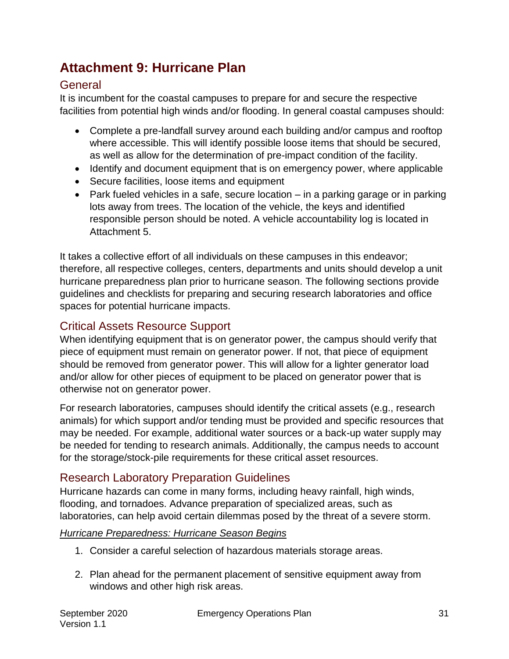# <span id="page-31-0"></span>**Attachment 9: Hurricane Plan**

### <span id="page-31-1"></span>**General**

It is incumbent for the coastal campuses to prepare for and secure the respective facilities from potential high winds and/or flooding. In general coastal campuses should:

- Complete a pre-landfall survey around each building and/or campus and rooftop where accessible. This will identify possible loose items that should be secured, as well as allow for the determination of pre-impact condition of the facility.
- Identify and document equipment that is on emergency power, where applicable
- Secure facilities, loose items and equipment
- Park fueled vehicles in a safe, secure location in a parking garage or in parking lots away from trees. The location of the vehicle, the keys and identified responsible person should be noted. A vehicle accountability log is located in Attachment 5.

It takes a collective effort of all individuals on these campuses in this endeavor; therefore, all respective colleges, centers, departments and units should develop a unit hurricane preparedness plan prior to hurricane season. The following sections provide guidelines and checklists for preparing and securing research laboratories and office spaces for potential hurricane impacts.

### <span id="page-31-2"></span>Critical Assets Resource Support

When identifying equipment that is on generator power, the campus should verify that piece of equipment must remain on generator power. If not, that piece of equipment should be removed from generator power. This will allow for a lighter generator load and/or allow for other pieces of equipment to be placed on generator power that is otherwise not on generator power.

For research laboratories, campuses should identify the critical assets (e.g., research animals) for which support and/or tending must be provided and specific resources that may be needed. For example, additional water sources or a back-up water supply may be needed for tending to research animals. Additionally, the campus needs to account for the storage/stock-pile requirements for these critical asset resources.

### <span id="page-31-3"></span>Research Laboratory Preparation Guidelines

Hurricane hazards can come in many forms, including heavy rainfall, high winds, flooding, and tornadoes. Advance preparation of specialized areas, such as laboratories, can help avoid certain dilemmas posed by the threat of a severe storm.

#### *Hurricane Preparedness: Hurricane Season Begins*

- 1. Consider a careful selection of hazardous materials storage areas.
- 2. Plan ahead for the permanent placement of sensitive equipment away from windows and other high risk areas.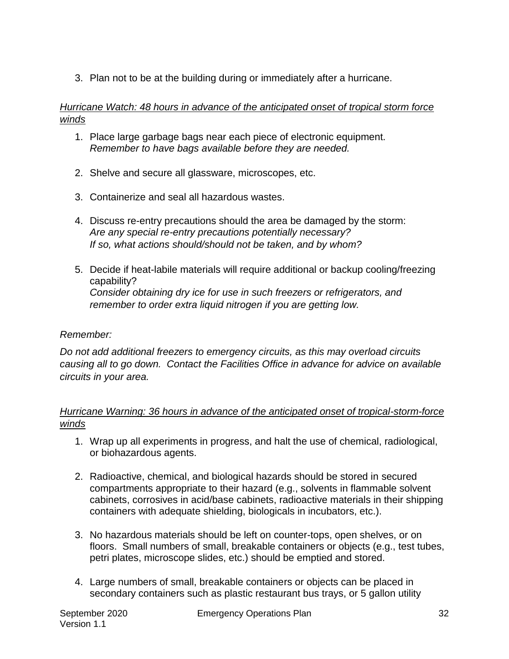3. Plan not to be at the building during or immediately after a hurricane.

### *Hurricane Watch: 48 hours in advance of the anticipated onset of tropical storm force winds*

- 1. Place large garbage bags near each piece of electronic equipment. *Remember to have bags available before they are needed.*
- 2. Shelve and secure all glassware, microscopes, etc.
- 3. Containerize and seal all hazardous wastes.
- 4. Discuss re-entry precautions should the area be damaged by the storm: *Are any special re-entry precautions potentially necessary? If so, what actions should/should not be taken, and by whom?*
- 5. Decide if heat-labile materials will require additional or backup cooling/freezing capability? *Consider obtaining dry ice for use in such freezers or refrigerators, and remember to order extra liquid nitrogen if you are getting low.*

### *Remember:*

*Do not add additional freezers to emergency circuits, as this may overload circuits causing all to go down. Contact the Facilities Office in advance for advice on available circuits in your area.*

### *Hurricane Warning: 36 hours in advance of the anticipated onset of tropical-storm-force winds*

- 1. Wrap up all experiments in progress, and halt the use of chemical, radiological, or biohazardous agents.
- 2. Radioactive, chemical, and biological hazards should be stored in secured compartments appropriate to their hazard (e.g., solvents in flammable solvent cabinets, corrosives in acid/base cabinets, radioactive materials in their shipping containers with adequate shielding, biologicals in incubators, etc.).
- 3. No hazardous materials should be left on counter-tops, open shelves, or on floors. Small numbers of small, breakable containers or objects (e.g., test tubes, petri plates, microscope slides, etc.) should be emptied and stored.
- 4. Large numbers of small, breakable containers or objects can be placed in secondary containers such as plastic restaurant bus trays, or 5 gallon utility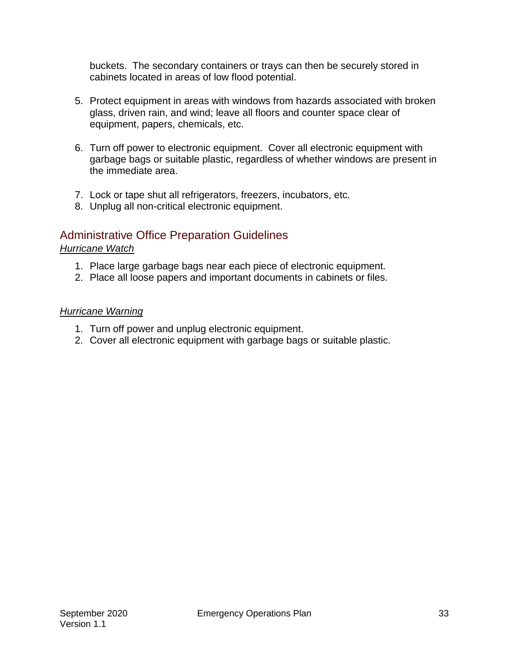buckets. The secondary containers or trays can then be securely stored in cabinets located in areas of low flood potential.

- 5. Protect equipment in areas with windows from hazards associated with broken glass, driven rain, and wind; leave all floors and counter space clear of equipment, papers, chemicals, etc.
- 6. Turn off power to electronic equipment. Cover all electronic equipment with garbage bags or suitable plastic, regardless of whether windows are present in the immediate area.
- 7. Lock or tape shut all refrigerators, freezers, incubators, etc.
- 8. Unplug all non-critical electronic equipment.

### <span id="page-33-0"></span>Administrative Office Preparation Guidelines

#### *Hurricane Watch*

- 1. Place large garbage bags near each piece of electronic equipment.
- 2. Place all loose papers and important documents in cabinets or files.

#### *Hurricane Warning*

- 1. Turn off power and unplug electronic equipment.
- 2. Cover all electronic equipment with garbage bags or suitable plastic.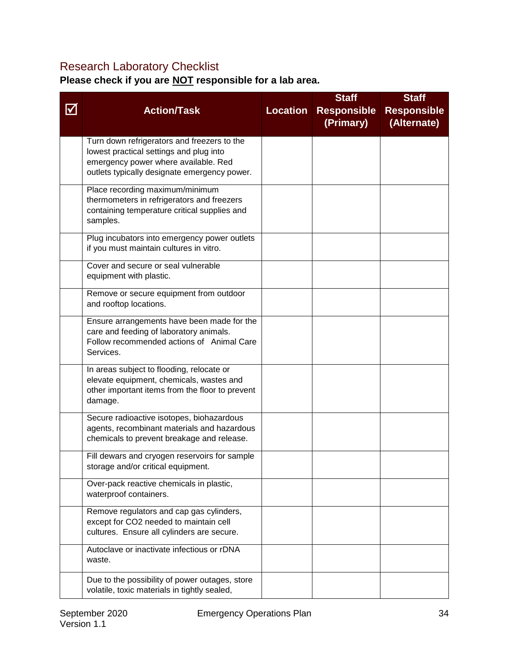### <span id="page-34-0"></span>Research Laboratory Checklist

**Please check if you are NOT responsible for a lab area.**

|                                       |                                                                                                |                 | <b>Staff</b>       | <b>Staff</b>       |
|---------------------------------------|------------------------------------------------------------------------------------------------|-----------------|--------------------|--------------------|
| $\boldsymbol{\mathsf{\underline{M}}}$ | <b>Action/Task</b>                                                                             | <b>Location</b> | <b>Responsible</b> | <b>Responsible</b> |
|                                       |                                                                                                |                 | (Primary)          | (Alternate)        |
|                                       |                                                                                                |                 |                    |                    |
|                                       | Turn down refrigerators and freezers to the                                                    |                 |                    |                    |
|                                       | lowest practical settings and plug into                                                        |                 |                    |                    |
|                                       | emergency power where available. Red                                                           |                 |                    |                    |
|                                       | outlets typically designate emergency power.                                                   |                 |                    |                    |
|                                       | Place recording maximum/minimum                                                                |                 |                    |                    |
|                                       | thermometers in refrigerators and freezers                                                     |                 |                    |                    |
|                                       | containing temperature critical supplies and                                                   |                 |                    |                    |
|                                       | samples.                                                                                       |                 |                    |                    |
|                                       | Plug incubators into emergency power outlets                                                   |                 |                    |                    |
|                                       | if you must maintain cultures in vitro.                                                        |                 |                    |                    |
|                                       |                                                                                                |                 |                    |                    |
|                                       | Cover and secure or seal vulnerable                                                            |                 |                    |                    |
|                                       | equipment with plastic.                                                                        |                 |                    |                    |
|                                       | Remove or secure equipment from outdoor                                                        |                 |                    |                    |
|                                       | and rooftop locations.                                                                         |                 |                    |                    |
|                                       | Ensure arrangements have been made for the                                                     |                 |                    |                    |
|                                       | care and feeding of laboratory animals.                                                        |                 |                    |                    |
|                                       | Follow recommended actions of Animal Care                                                      |                 |                    |                    |
|                                       | Services.                                                                                      |                 |                    |                    |
|                                       | In areas subject to flooding, relocate or                                                      |                 |                    |                    |
|                                       | elevate equipment, chemicals, wastes and                                                       |                 |                    |                    |
|                                       | other important items from the floor to prevent                                                |                 |                    |                    |
|                                       | damage.                                                                                        |                 |                    |                    |
|                                       | Secure radioactive isotopes, biohazardous                                                      |                 |                    |                    |
|                                       | agents, recombinant materials and hazardous                                                    |                 |                    |                    |
|                                       | chemicals to prevent breakage and release.                                                     |                 |                    |                    |
|                                       |                                                                                                |                 |                    |                    |
|                                       | Fill dewars and cryogen reservoirs for sample<br>storage and/or critical equipment.            |                 |                    |                    |
|                                       |                                                                                                |                 |                    |                    |
|                                       | Over-pack reactive chemicals in plastic,                                                       |                 |                    |                    |
|                                       | waterproof containers.                                                                         |                 |                    |                    |
|                                       | Remove regulators and cap gas cylinders,                                                       |                 |                    |                    |
|                                       | except for CO2 needed to maintain cell                                                         |                 |                    |                    |
|                                       | cultures. Ensure all cylinders are secure.                                                     |                 |                    |                    |
|                                       | Autoclave or inactivate infectious or rDNA                                                     |                 |                    |                    |
|                                       | waste.                                                                                         |                 |                    |                    |
|                                       |                                                                                                |                 |                    |                    |
|                                       | Due to the possibility of power outages, store<br>volatile, toxic materials in tightly sealed, |                 |                    |                    |
|                                       |                                                                                                |                 |                    |                    |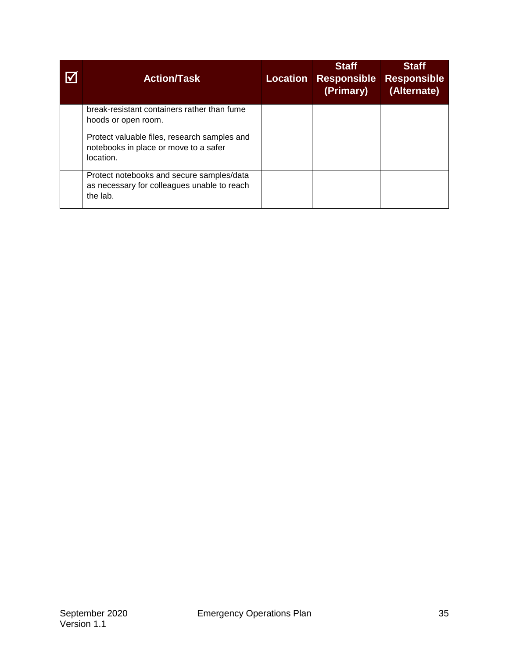| <b>Action/Task</b>                                                                                   | <b>Location</b> | <b>Staff</b><br><b>Responsible</b><br>(Primary) | <b>Staff</b><br><b>Responsible</b><br>(Alternate) |
|------------------------------------------------------------------------------------------------------|-----------------|-------------------------------------------------|---------------------------------------------------|
| break-resistant containers rather than fume<br>hoods or open room.                                   |                 |                                                 |                                                   |
| Protect valuable files, research samples and<br>notebooks in place or move to a safer<br>location.   |                 |                                                 |                                                   |
| Protect notebooks and secure samples/data<br>as necessary for colleagues unable to reach<br>the lab. |                 |                                                 |                                                   |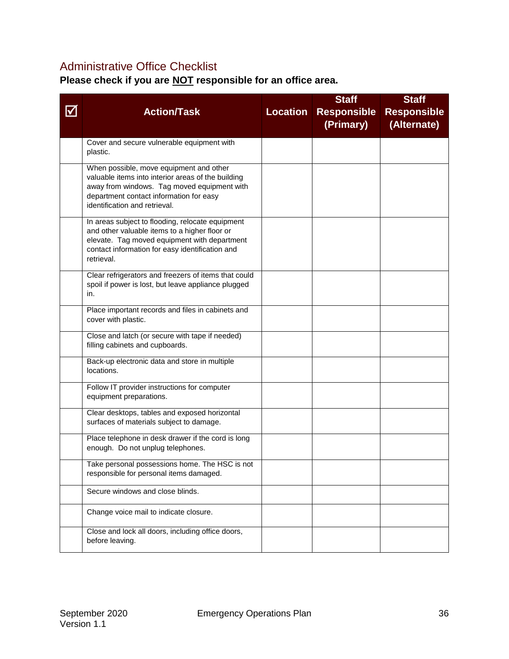### <span id="page-36-0"></span>Administrative Office Checklist

**Please check if you are NOT responsible for an office area.**

|                           |                                                                                                 |                 | <b>Staff</b>       | <b>Staff</b>       |
|---------------------------|-------------------------------------------------------------------------------------------------|-----------------|--------------------|--------------------|
| $\boldsymbol{\mathsf{V}}$ | <b>Action/Task</b>                                                                              | <b>Location</b> | <b>Responsible</b> | <b>Responsible</b> |
|                           |                                                                                                 |                 | (Primary)          | (Alternate)        |
|                           |                                                                                                 |                 |                    |                    |
|                           | Cover and secure vulnerable equipment with<br>plastic.                                          |                 |                    |                    |
|                           |                                                                                                 |                 |                    |                    |
|                           | When possible, move equipment and other<br>valuable items into interior areas of the building   |                 |                    |                    |
|                           | away from windows. Tag moved equipment with                                                     |                 |                    |                    |
|                           | department contact information for easy                                                         |                 |                    |                    |
|                           | identification and retrieval.                                                                   |                 |                    |                    |
|                           | In areas subject to flooding, relocate equipment                                                |                 |                    |                    |
|                           | and other valuable items to a higher floor or                                                   |                 |                    |                    |
|                           | elevate. Tag moved equipment with department<br>contact information for easy identification and |                 |                    |                    |
|                           | retrieval.                                                                                      |                 |                    |                    |
|                           | Clear refrigerators and freezers of items that could                                            |                 |                    |                    |
|                           | spoil if power is lost, but leave appliance plugged                                             |                 |                    |                    |
|                           | in.                                                                                             |                 |                    |                    |
|                           | Place important records and files in cabinets and                                               |                 |                    |                    |
|                           | cover with plastic.                                                                             |                 |                    |                    |
|                           | Close and latch (or secure with tape if needed)                                                 |                 |                    |                    |
|                           | filling cabinets and cupboards.                                                                 |                 |                    |                    |
|                           | Back-up electronic data and store in multiple                                                   |                 |                    |                    |
|                           | locations.                                                                                      |                 |                    |                    |
|                           | Follow IT provider instructions for computer                                                    |                 |                    |                    |
|                           | equipment preparations.                                                                         |                 |                    |                    |
|                           | Clear desktops, tables and exposed horizontal                                                   |                 |                    |                    |
|                           | surfaces of materials subject to damage.                                                        |                 |                    |                    |
|                           | Place telephone in desk drawer if the cord is long                                              |                 |                    |                    |
|                           | enough. Do not unplug telephones.                                                               |                 |                    |                    |
|                           | Take personal possessions home. The HSC is not                                                  |                 |                    |                    |
|                           | responsible for personal items damaged.                                                         |                 |                    |                    |
|                           | Secure windows and close blinds.                                                                |                 |                    |                    |
|                           | Change voice mail to indicate closure.                                                          |                 |                    |                    |
|                           | Close and lock all doors, including office doors,                                               |                 |                    |                    |
|                           | before leaving.                                                                                 |                 |                    |                    |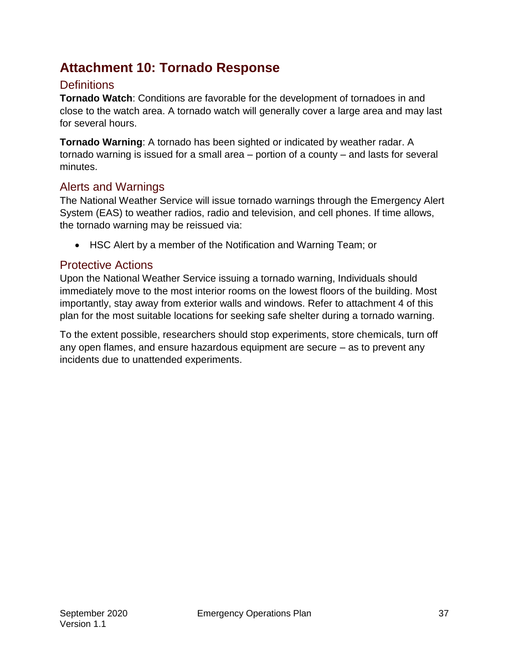# <span id="page-37-0"></span>**Attachment 10: Tornado Response**

### <span id="page-37-1"></span>**Definitions**

**Tornado Watch**: Conditions are favorable for the development of tornadoes in and close to the watch area. A tornado watch will generally cover a large area and may last for several hours.

**Tornado Warning**: A tornado has been sighted or indicated by weather radar. A tornado warning is issued for a small area – portion of a county – and lasts for several minutes.

### <span id="page-37-2"></span>Alerts and Warnings

The National Weather Service will issue tornado warnings through the Emergency Alert System (EAS) to weather radios, radio and television, and cell phones. If time allows, the tornado warning may be reissued via:

HSC Alert by a member of the Notification and Warning Team; or

### <span id="page-37-3"></span>Protective Actions

Upon the National Weather Service issuing a tornado warning, Individuals should immediately move to the most interior rooms on the lowest floors of the building. Most importantly, stay away from exterior walls and windows. Refer to attachment 4 of this plan for the most suitable locations for seeking safe shelter during a tornado warning.

To the extent possible, researchers should stop experiments, store chemicals, turn off any open flames, and ensure hazardous equipment are secure – as to prevent any incidents due to unattended experiments.